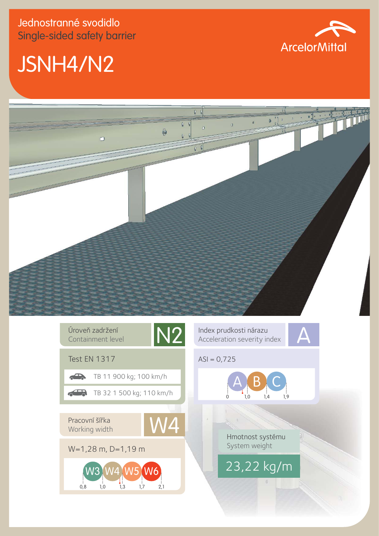## JSNH4/N2





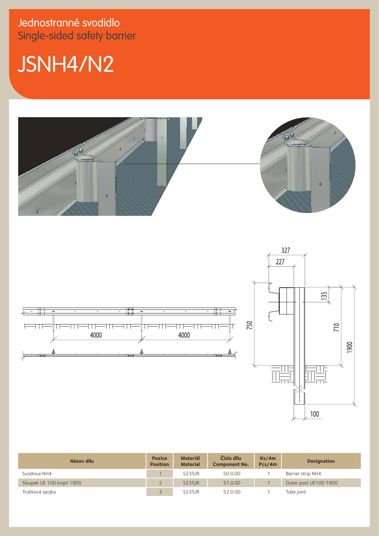Jednostranné svodidlo Single-sided safety barrier

## JSNH4/N2





| Název dílu                 | <b>Pozice</b><br><b>Position</b> | <b>Materiál</b><br><b>Material</b> | Číslo dílu<br><b>Component No.</b> | Ks/4m<br>Pcs/4m | <b>Designation</b>    |
|----------------------------|----------------------------------|------------------------------------|------------------------------------|-----------------|-----------------------|
| Svodnice NH4               |                                  | S235JR                             | 50.0.00                            |                 | Barrier strip NH4     |
| Sloupek UE 100 krajní 1900 |                                  | <b>S235JR</b>                      | 51.0.00                            |                 | Outer post UE100 1900 |
| Trubková spojka            |                                  | S235JR                             | 52.0.00                            |                 | Tube joint            |

100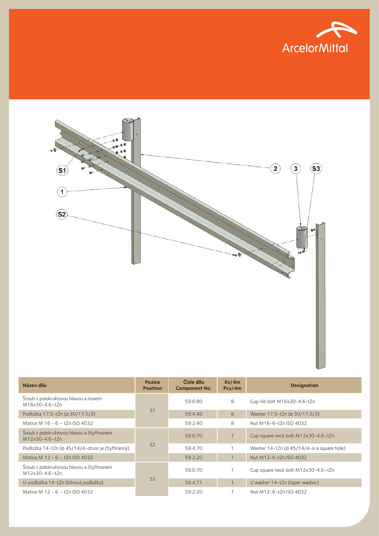



| Název dílu                                                 | <b>Pozice</b><br><b>Position</b> | Číslo dílu<br><b>Component No.</b> | Ks/4m<br>Pcs/4m | <b>Designation</b>                                        |
|------------------------------------------------------------|----------------------------------|------------------------------------|-----------------|-----------------------------------------------------------|
| Šroub s polokruhovou hlavou a nosem<br>M16x30-4.6-tZn      | S <sub>1</sub>                   | 59.0.80                            | 8               | Cup nib bolt M16x30-4.6-tZn                               |
| Podložka 17,5-tZn (ø 30/17,5/3)                            |                                  | 59.4.40                            | 8               | Washer 17.5-tZn (ø 30/17,5/3)                             |
| Matice M 16 - 6 - tZn ISO 4032                             |                                  | 59.2.40                            | 8               | Nut M16-6-tZn ISO 4032                                    |
| Šroub s polokruhovou hlavou a čtyřhranem<br>M12x30-4.6-tZn | S <sub>2</sub>                   | 59.0.70                            | $\overline{1}$  | Cup square neck bolt M12x30-4.6-tZn                       |
| Podložka 14-tZn (ø 45/14/4-otvor je čtyřhranný)            |                                  | 59.4.70                            |                 | Washer $14-tZn$ ( $\varnothing$ 45/14/4-is a square hole) |
| Matice M 12 - 6 - tZn ISO 4032                             |                                  | 59.2.20                            |                 | Nut M12-6-tZn ISO 4032                                    |
| Šroub s polokruhovou hlavou a čtyřhranem<br>M12x30-4.6-tZn | S <sub>3</sub>                   | 59.0.70                            |                 | Cup square neck bolt M12x30-4.6-tZn                       |
| U-podložka 14-tZn (klínová podložka)                       |                                  | 59.4.71                            |                 | U washer 14-tZn (taper washer)                            |
| Matice M 12 - 6 - tZn ISO 4032                             |                                  | 59.2.20                            |                 | Nut M12-6-tZn ISO 4032                                    |